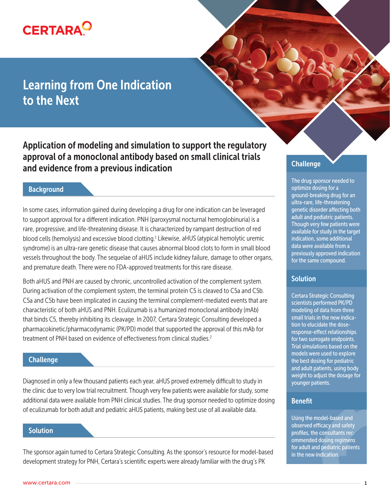

# Learning from One Indication to the Next

Application of modeling and simulation to support the regulatory approval of a monoclonal antibody based on small clinical trials and evidence from a previous indication

# **Background**

In some cases, information gained during developing a drug for one indication can be leveraged to support approval for a different indication. PNH (paroxysmal nocturnal hemoglobinuria) is a rare, progressive, and life-threatening disease. It is characterized by rampant destruction of red blood cells (hemolysis) and excessive blood clotting.<sup>1</sup> Likewise, aHUS (atypical hemolytic uremic syndrome) is an ultra-rare genetic disease that causes abnormal blood clots to form in small blood vessels throughout the body. The sequelae of aHUS include kidney failure, damage to other organs, and premature death. There were no FDA-approved treatments for this rare disease.

Both aHUS and PNH are caused by chronic, uncontrolled activation of the complement system. During activation of the complement system, the terminal protein C5 is cleaved to C5a and C5b. C5a and C5b have been implicated in causing the terminal complement-mediated events that are characteristic of both aHUS and PNH. Eculizumab is a humanized monoclonal antibody (mAb) that binds C5, thereby inhibiting its cleavage. In 2007, Certara Strategic Consulting developed a pharmacokinetic/pharmacodynamic (PK/PD) model that supported the approval of this mAb for treatment of PNH based on evidence of effectiveness from clinical studies.<sup>2</sup>

# **Challenge**

Diagnosed in only a few thousand patients each year, aHUS proved extremely difficult to study in the clinic due to very low trial recruitment. Though very few patients were available for study, some additional data were available from PNH clinical studies. The drug sponsor needed to optimize dosing of eculizumab for both adult and pediatric aHUS patients, making best use of all available data.

# **Solution**

The sponsor again turned to Certara Strategic Consulting. As the sponsor's resource for model-based development strategy for PNH, Certara's scientific experts were already familiar with the drug's PK

# **Challenge**

The drug sponsor needed to optimize dosing for a ground-breaking drug for an ultra-rare, life-threatening genetic disorder affecting both adult and pediatric patients. Though very few patients were available for study in the target indication, some additional data were available from a previously approved indication for the same compound.

# **Solution**

Certara Strategic Consulting scientists performed PK/PD modeling of data from three small trials in the new indication to elucidate the doseresponse-effect relationships for two surrogate endpoints. Trial simulations based on the models were used to explore the best dosing for pediatric and adult patients, using body weight to adjust the dosage for younger patients.

#### Benefit

Using the model-based and observed efficacy and safety profiles, the consultants recommended dosing regimens for adult and pediatric patients in the new indication.